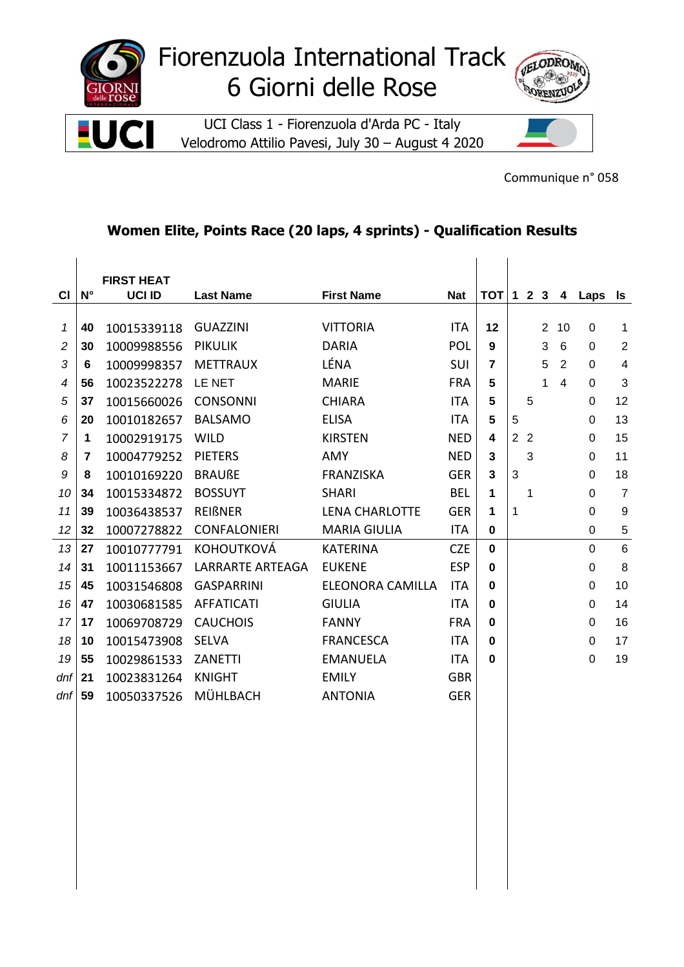

## Fiorenzuola International Track 6 Giorni delle Rose

UCI Class 1 - Fiorenzuola d'Arda PC - Italy Velodromo Attilio Pavesi, July 30 – August 4 2020



Communique n° 058

## **Women Elite, Points Race (20 laps, 4 sprints) - Qualification Results**

|                |             | <b>FIRST HEAT</b> |                     |                         |            |                |   |                |   |                |                |                         |
|----------------|-------------|-------------------|---------------------|-------------------------|------------|----------------|---|----------------|---|----------------|----------------|-------------------------|
| <b>CI</b>      | $N^{\circ}$ | <b>UCI ID</b>     | <b>Last Name</b>    | <b>First Name</b>       | <b>Nat</b> | $TOT$ 1 2 3 4  |   |                |   |                | Laps           | ls.                     |
| 1              | 40          | 10015339118       | <b>GUAZZINI</b>     | <b>VITTORIA</b>         | <b>ITA</b> | $12 \,$        |   |                |   | 2, 10          | $\mathbf 0$    | 1                       |
|                |             |                   |                     |                         |            | 9              |   |                | 3 | 6              |                | $\overline{2}$          |
| 2              | 30          | 10009988556       | <b>PIKULIK</b>      | <b>DARIA</b>            | POL        |                |   |                |   |                | 0              |                         |
| 3              | 6           | 10009998357       | <b>METTRAUX</b>     | LÉNA                    | SUI        | $\overline{7}$ |   |                | 5 | $\overline{2}$ | 0              | $\overline{\mathbf{4}}$ |
| 4              | 56          | 10023522278       | LE NET              | <b>MARIE</b>            | <b>FRA</b> | 5              |   |                | 1 | $\overline{4}$ | 0              | 3                       |
| 5              | 37          | 10015660026       | <b>CONSONNI</b>     | <b>CHIARA</b>           | <b>ITA</b> | 5              |   | 5              |   |                | 0              | 12                      |
| 6              | 20          | 10010182657       | <b>BALSAMO</b>      | <b>ELISA</b>            | <b>ITA</b> | 5              | 5 |                |   |                | 0              | 13                      |
| $\overline{7}$ | 1           | 10002919175       | <b>WILD</b>         | <b>KIRSTEN</b>          | <b>NED</b> | 4              |   | 2 <sub>2</sub> |   |                | $\mathbf 0$    | 15                      |
| 8              | 7           | 10004779252       | <b>PIETERS</b>      | <b>AMY</b>              | <b>NED</b> | 3              |   | 3              |   |                | 0              | 11                      |
| 9              | 8           | 10010169220       | <b>BRAUßE</b>       | <b>FRANZISKA</b>        | <b>GER</b> | 3              | 3 |                |   |                | $\Omega$       | 18                      |
| 10             | 34          | 10015334872       | <b>BOSSUYT</b>      | <b>SHARI</b>            | <b>BEL</b> | 1.             |   | 1              |   |                | 0              | $\overline{7}$          |
| 11             | 39          | 10036438537       | <b>REIßNER</b>      | <b>LENA CHARLOTTE</b>   | <b>GER</b> | 1.             | 1 |                |   |                | 0              | $\boldsymbol{9}$        |
| 12             | 32          | 10007278822       | <b>CONFALONIERI</b> | <b>MARIA GIULIA</b>     | <b>ITA</b> | 0              |   |                |   |                | $\mathbf 0$    | 5                       |
| 13             | 27          | 10010777791       | <b>KOHOUTKOVÁ</b>   | <b>KATERINA</b>         | <b>CZE</b> | $\mathbf 0$    |   |                |   |                | $\mathbf 0$    | $\,6\,$                 |
| 14             | 31          | 10011153667       | LARRARTE ARTEAGA    | <b>EUKENE</b>           | <b>ESP</b> | 0              |   |                |   |                | 0              | $\, 8$                  |
| 15             | 45          | 10031546808       | <b>GASPARRINI</b>   | <b>ELEONORA CAMILLA</b> | <b>ITA</b> | 0              |   |                |   |                | 0              | 10                      |
| 16             | 47          | 10030681585       | <b>AFFATICATI</b>   | <b>GIULIA</b>           | <b>ITA</b> | 0              |   |                |   |                | 0              | 14                      |
| 17             | 17          | 10069708729       | <b>CAUCHOIS</b>     | <b>FANNY</b>            | <b>FRA</b> | 0              |   |                |   |                | 0              | 16                      |
| 18             | 10          | 10015473908       | <b>SELVA</b>        | <b>FRANCESCA</b>        | ITA        | 0              |   |                |   |                | $\Omega$       | 17                      |
| 19             | 55          | 10029861533       | ZANETTI             | <b>EMANUELA</b>         | <b>ITA</b> | 0              |   |                |   |                | $\overline{0}$ | 19                      |
| dnfl           | 21          | 10023831264       | <b>KNIGHT</b>       | <b>EMILY</b>            | <b>GBR</b> |                |   |                |   |                |                |                         |
| dnf            | 59          | 10050337526       | MÜHLBACH            | <b>ANTONIA</b>          | <b>GER</b> |                |   |                |   |                |                |                         |
|                |             |                   |                     |                         |            |                |   |                |   |                |                |                         |
|                |             |                   |                     |                         |            |                |   |                |   |                |                |                         |
|                |             |                   |                     |                         |            |                |   |                |   |                |                |                         |
|                |             |                   |                     |                         |            |                |   |                |   |                |                |                         |
|                |             |                   |                     |                         |            |                |   |                |   |                |                |                         |
|                |             |                   |                     |                         |            |                |   |                |   |                |                |                         |